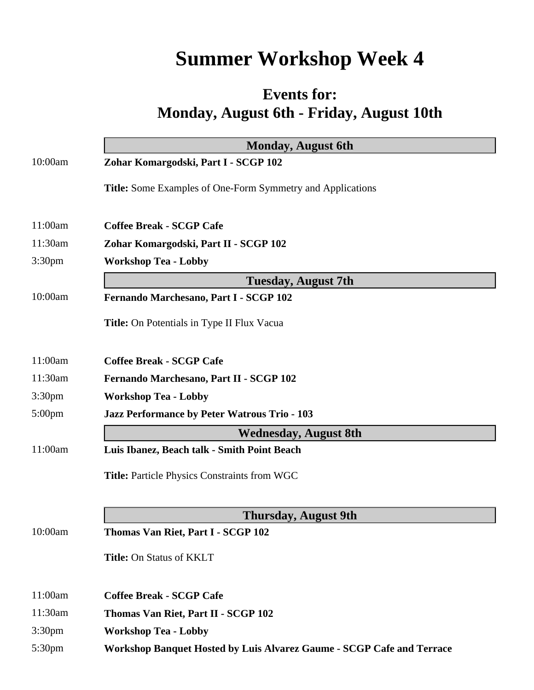## **Summer Workshop Week 4**

## **Events for: Monday, August 6th - Friday, August 10th**

|                    | <b>Monday, August 6th</b>                                                    |
|--------------------|------------------------------------------------------------------------------|
| 10:00am            | Zohar Komargodski, Part I - SCGP 102                                         |
|                    | <b>Title:</b> Some Examples of One-Form Symmetry and Applications            |
| 11:00am            | <b>Coffee Break - SCGP Cafe</b>                                              |
| 11:30am            | Zohar Komargodski, Part II - SCGP 102                                        |
| 3:30pm             | <b>Workshop Tea - Lobby</b>                                                  |
|                    | <b>Tuesday, August 7th</b>                                                   |
| 10:00am            | Fernando Marchesano, Part I - SCGP 102                                       |
|                    | Title: On Potentials in Type II Flux Vacua                                   |
| 11:00am            | <b>Coffee Break - SCGP Cafe</b>                                              |
| 11:30am            | Fernando Marchesano, Part II - SCGP 102                                      |
| 3:30pm             | <b>Workshop Tea - Lobby</b>                                                  |
| 5:00pm             | Jazz Performance by Peter Watrous Trio - 103                                 |
|                    | <b>Wednesday, August 8th</b>                                                 |
| 11:00am            | Luis Ibanez, Beach talk - Smith Point Beach                                  |
|                    | <b>Title: Particle Physics Constraints from WGC</b>                          |
|                    |                                                                              |
|                    | <b>Thursday, August 9th</b>                                                  |
| 10:00am            | Thomas Van Riet, Part I - SCGP 102                                           |
|                    | Title: On Status of KKLT                                                     |
| 11:00am            | <b>Coffee Break - SCGP Cafe</b>                                              |
| 11:30am            | Thomas Van Riet, Part II - SCGP 102                                          |
| 3:30 <sub>pm</sub> | <b>Workshop Tea - Lobby</b>                                                  |
| 5:30pm             | <b>Workshop Banquet Hosted by Luis Alvarez Gaume - SCGP Cafe and Terrace</b> |